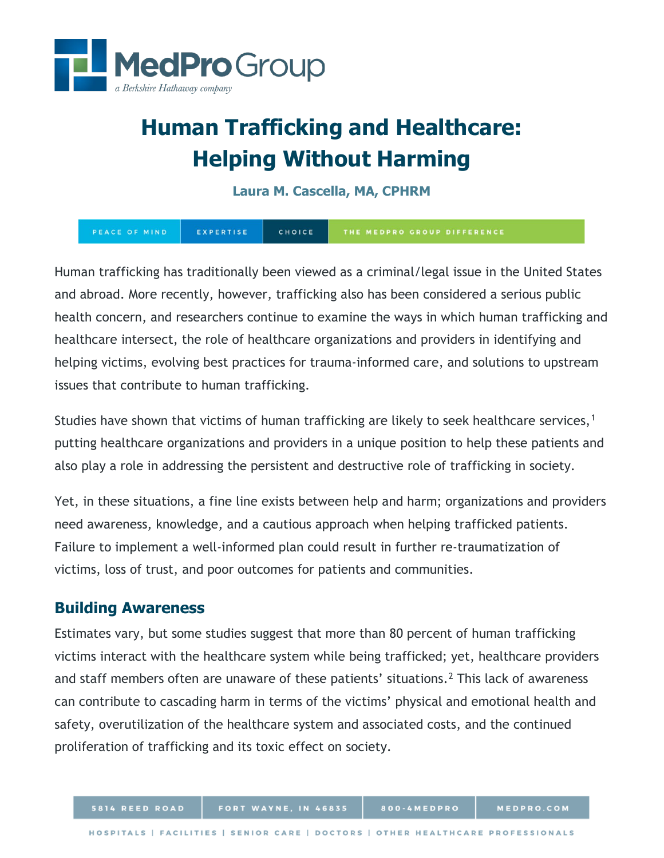

# **Human Trafficking and Healthcare: Helping Without Harming**

## **Laura M. Cascella, MA, CPHRM**

PEACE OF MIND EXPERTISE CHOICE THE MEDPRO GROUP DIFFERENCE

Human trafficking has traditionally been viewed as a criminal/legal issue in the United States and abroad. More recently, however, trafficking also has been considered a serious public health concern, and researchers continue to examine the ways in which human trafficking and healthcare intersect, the role of healthcare organizations and providers in identifying and helping victims, evolving best practices for trauma-informed care, and solutions to upstream issues that contribute to human trafficking.

Studies have shown that victims of human trafficking are likely to seek healthcare services,<sup>[1](#page-9-0)</sup> putting healthcare organizations and providers in a unique position to help these patients and also play a role in addressing the persistent and destructive role of trafficking in society.

Yet, in these situations, a fine line exists between help and harm; organizations and providers need awareness, knowledge, and a cautious approach when helping trafficked patients. Failure to implement a well-informed plan could result in further re-traumatization of victims, loss of trust, and poor outcomes for patients and communities.

## **Building Awareness**

Estimates vary, but some studies suggest that more than 80 percent of human trafficking victims interact with the healthcare system while being trafficked; yet, healthcare providers and staff members often are unaware of these patients' situations.<sup>[2](#page-9-1)</sup> This lack of awareness can contribute to cascading harm in terms of the victims' physical and emotional health and safety, overutilization of the healthcare system and associated costs, and the continued proliferation of trafficking and its toxic effect on society.

800-4MEDPRO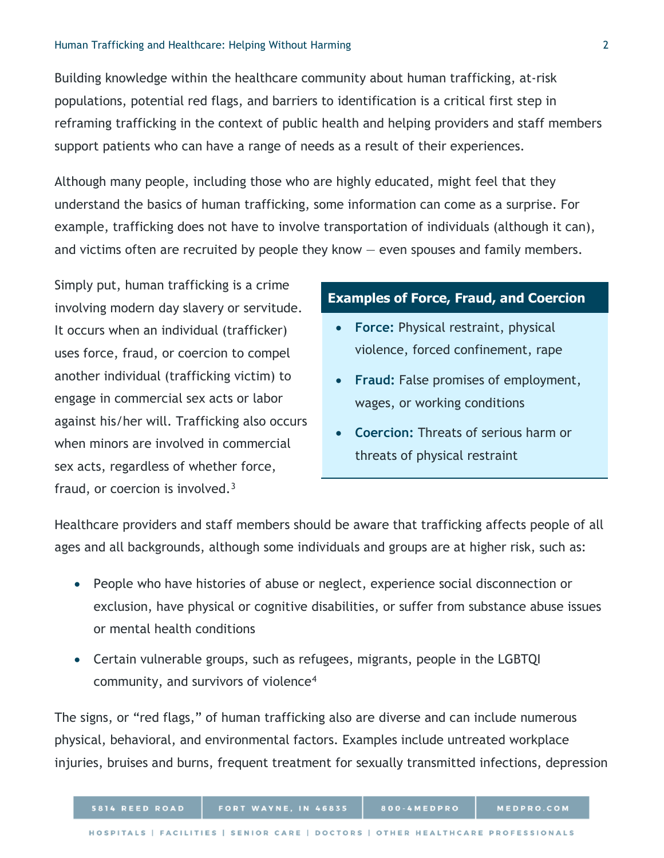Building knowledge within the healthcare community about human trafficking, at-risk populations, potential red flags, and barriers to identification is a critical first step in reframing trafficking in the context of public health and helping providers and staff members support patients who can have a range of needs as a result of their experiences.

Although many people, including those who are highly educated, might feel that they understand the basics of human trafficking, some information can come as a surprise. For example, trafficking does not have to involve transportation of individuals (although it can), and victims often are recruited by people they know — even spouses and family members.

Simply put, human trafficking is a crime involving modern day slavery or servitude. It occurs when an individual (trafficker) uses force, fraud, or coercion to compel another individual (trafficking victim) to engage in commercial sex acts or labor against his/her will. Trafficking also occurs when minors are involved in commercial sex acts, regardless of whether force, fraud, or coercion is involved. $3$ 

#### **Examples of Force, Fraud, and Coercion**

- **Force:** Physical restraint, physical violence, forced confinement, rape
- **Fraud:** False promises of employment, wages, or working conditions
- **Coercion:** Threats of serious harm or threats of physical restraint

Healthcare providers and staff members should be aware that trafficking affects people of all ages and all backgrounds, although some individuals and groups are at higher risk, such as:

- People who have histories of abuse or neglect, experience social disconnection or exclusion, have physical or cognitive disabilities, or suffer from substance abuse issues or mental health conditions
- Certain vulnerable groups, such as refugees, migrants, people in the LGBTQI community, and survivors of violence[4](#page-9-3)

The signs, or "red flags," of human trafficking also are diverse and can include numerous physical, behavioral, and environmental factors. Examples include untreated workplace injuries, bruises and burns, frequent treatment for sexually transmitted infections, depression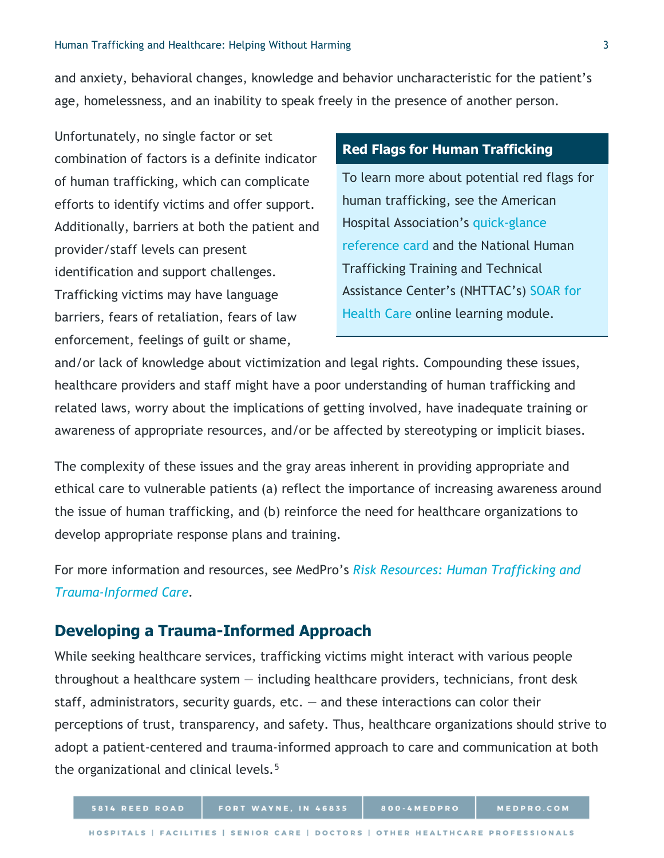and anxiety, behavioral changes, knowledge and behavior uncharacteristic for the patient's age, homelessness, and an inability to speak freely in the presence of another person.

Unfortunately, no single factor or set combination of factors is a definite indicator of human trafficking, which can complicate efforts to identify victims and offer support. Additionally, barriers at both the patient and provider/staff levels can present identification and support challenges. Trafficking victims may have language barriers, fears of retaliation, fears of law enforcement, feelings of guilt or shame,

### **Red Flags for Human Trafficking**

To learn more about potential red flags for human trafficking, see the American Hospital Association's [quick-glance](https://www.aha.org/system/files/2018-07/human-trafficking-card.pdf)  [reference card](https://www.aha.org/system/files/2018-07/human-trafficking-card.pdf) and the National Human Trafficking Training and Technical Assistance Center's (NHTTAC's) [SOAR for](https://nhttac.acf.hhs.gov/soar/soar-for-individuals/soar-online)  [Health Care](https://nhttac.acf.hhs.gov/soar/soar-for-individuals/soar-online) online learning module.

and/or lack of knowledge about victimization and legal rights. Compounding these issues, healthcare providers and staff might have a poor understanding of human trafficking and related laws, worry about the implications of getting involved, have inadequate training or awareness of appropriate resources, and/or be affected by stereotyping or implicit biases.

The complexity of these issues and the gray areas inherent in providing appropriate and ethical care to vulnerable patients (a) reflect the importance of increasing awareness around the issue of human trafficking, and (b) reinforce the need for healthcare organizations to develop appropriate response plans and training.

For more information and resources, see MedPro's *[Risk Resources: Human Trafficking and](https://www.medpro.com/documents/10502/2824311/Risk+Resources_Human+Trafficking+and+Trauma-Informed+Care_MedPro+Group.pdf)  [Trauma-Informed Care.](https://www.medpro.com/documents/10502/2824311/Risk+Resources_Human+Trafficking+and+Trauma-Informed+Care_MedPro+Group.pdf)*

## **Developing a Trauma-Informed Approach**

5814 REED ROAD

While seeking healthcare services, trafficking victims might interact with various people throughout a healthcare system  $-$  including healthcare providers, technicians, front desk staff, administrators, security guards,  $etc. -$  and these interactions can color their perceptions of trust, transparency, and safety. Thus, healthcare organizations should strive to adopt a patient-centered and trauma-informed approach to care and communication at both the organizational and clinical levels.[5](#page-9-4)

800-4MEDPRO

MEDPRO.COM

FORT WAYNE, IN 46835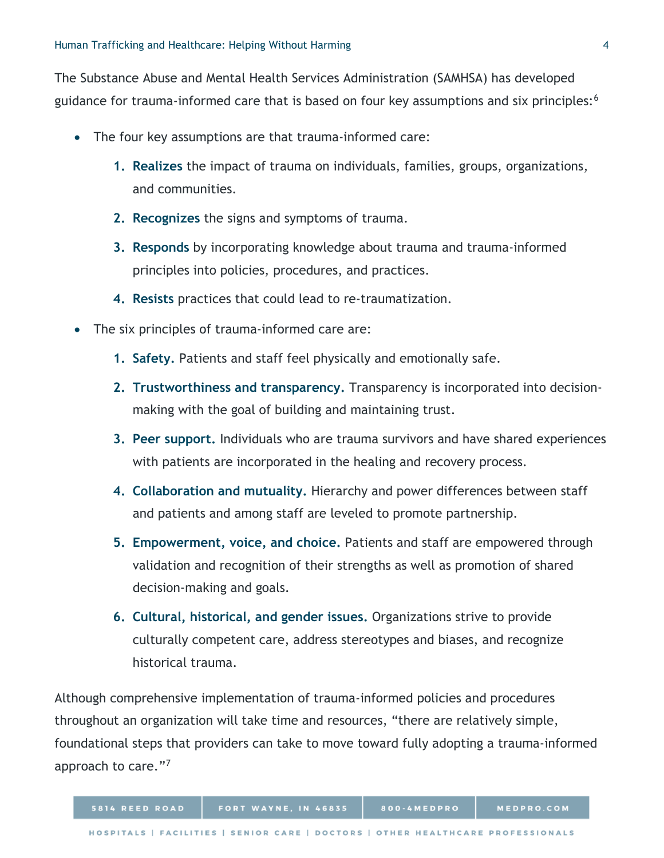The Substance Abuse and Mental Health Services Administration (SAMHSA) has developed guidance for trauma-informed care that is based on four key assumptions and six principles:<sup>[6](#page-9-5)</sup>

- The four key assumptions are that trauma-informed care:
	- **1. Realizes** the impact of trauma on individuals, families, groups, organizations, and communities.
	- **2. Recognizes** the signs and symptoms of trauma.
	- **3. Responds** by incorporating knowledge about trauma and trauma-informed principles into policies, procedures, and practices.
	- **4. Resists** practices that could lead to re-traumatization.
- The six principles of trauma-informed care are:
	- **1. Safety.** Patients and staff feel physically and emotionally safe.
	- **2. Trustworthiness and transparency.** Transparency is incorporated into decisionmaking with the goal of building and maintaining trust.
	- **3. Peer support.** Individuals who are trauma survivors and have shared experiences with patients are incorporated in the healing and recovery process.
	- **4. Collaboration and mutuality.** Hierarchy and power differences between staff and patients and among staff are leveled to promote partnership.
	- **5. Empowerment, voice, and choice.** Patients and staff are empowered through validation and recognition of their strengths as well as promotion of shared decision-making and goals.
	- **6. Cultural, historical, and gender issues.** Organizations strive to provide culturally competent care, address stereotypes and biases, and recognize historical trauma.

Although comprehensive implementation of trauma-informed policies and procedures throughout an organization will take time and resources, "there are relatively simple, foundational steps that providers can take to move toward fully adopting a trauma-informed approach to care."[7](#page-9-6)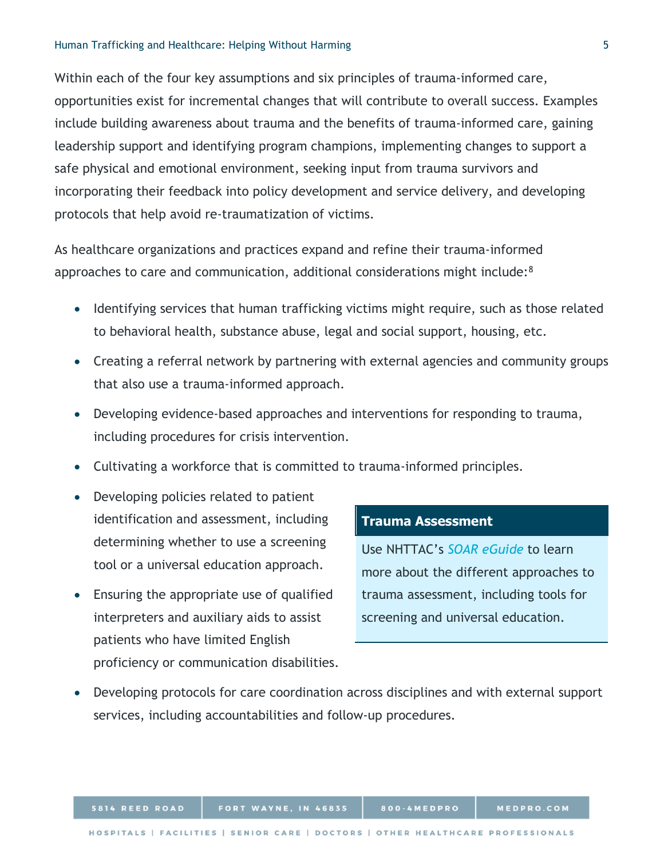#### Human Trafficking and Healthcare: Helping Without Harming 5

Within each of the four key assumptions and six principles of trauma-informed care, opportunities exist for incremental changes that will contribute to overall success. Examples include building awareness about trauma and the benefits of trauma-informed care, gaining leadership support and identifying program champions, implementing changes to support a safe physical and emotional environment, seeking input from trauma survivors and incorporating their feedback into policy development and service delivery, and developing protocols that help avoid re-traumatization of victims.

As healthcare organizations and practices expand and refine their trauma-informed approaches to care and communication, additional considerations might include:[8](#page-9-7)

- Identifying services that human trafficking victims might require, such as those related to behavioral health, substance abuse, legal and social support, housing, etc.
- Creating a referral network by partnering with external agencies and community groups that also use a trauma-informed approach.
- Developing evidence-based approaches and interventions for responding to trauma, including procedures for crisis intervention.
- Cultivating a workforce that is committed to trauma-informed principles.
- Developing policies related to patient identification and assessment, including determining whether to use a screening tool or a universal education approach.
- Ensuring the appropriate use of qualified interpreters and auxiliary aids to assist patients who have limited English proficiency or communication disabilities.

#### **Trauma Assessment**

Use NHTTAC's *[SOAR eGuide](https://nhttac.acf.hhs.gov/soar/eguide/ask/different-approaches-to-the-conversation)* to learn more about the different approaches to trauma assessment, including tools for screening and universal education.

• Developing protocols for care coordination across disciplines and with external support services, including accountabilities and follow-up procedures.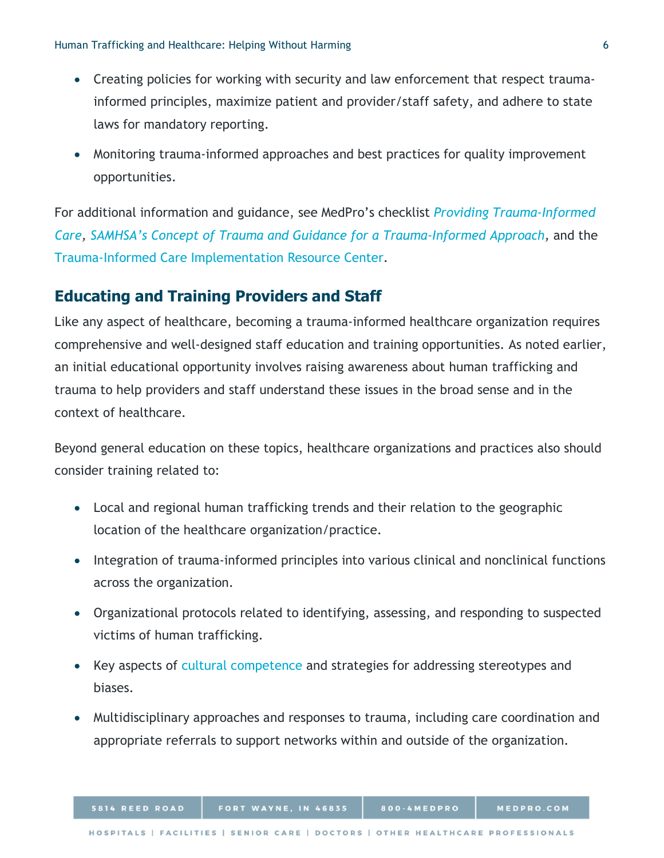- Creating policies for working with security and law enforcement that respect traumainformed principles, maximize patient and provider/staff safety, and adhere to state laws for mandatory reporting.
- Monitoring trauma-informed approaches and best practices for quality improvement opportunities.

For additional information and guidance, see MedPro's checklist *[Providing Trauma-Informed](https://www.medpro.com/documents/10502/2899801/Checklist_Providing+Trauma-Informed+Care_MedPro+Group.pdf)  [Care,](https://www.medpro.com/documents/10502/2899801/Checklist_Providing+Trauma-Informed+Care_MedPro+Group.pdf) [SAMHSA's Concept of Trauma and Guidance for a Trauma-Informed Approach,](https://store.samhsa.gov/product/SAMHSA-s-Concept-of-Trauma-and-Guidance-for-a-Trauma-Informed-Approach/SMA14-4884)* and the [Trauma-Informed Care Implementation Resource Center.](https://www.traumainformedcare.chcs.org/)

## **Educating and Training Providers and Staff**

Like any aspect of healthcare, becoming a trauma-informed healthcare organization requires comprehensive and well-designed staff education and training opportunities. As noted earlier, an initial educational opportunity involves raising awareness about human trafficking and trauma to help providers and staff understand these issues in the broad sense and in the context of healthcare.

Beyond general education on these topics, healthcare organizations and practices also should consider training related to:

- Local and regional human trafficking trends and their relation to the geographic location of the healthcare organization/practice.
- Integration of trauma-informed principles into various clinical and nonclinical functions across the organization.
- Organizational protocols related to identifying, assessing, and responding to suspected victims of human trafficking.
- Key aspects of [cultural competence](https://thinkculturalhealth.hhs.gov/clas) and strategies for addressing stereotypes and biases.
- Multidisciplinary approaches and responses to trauma, including care coordination and appropriate referrals to support networks within and outside of the organization.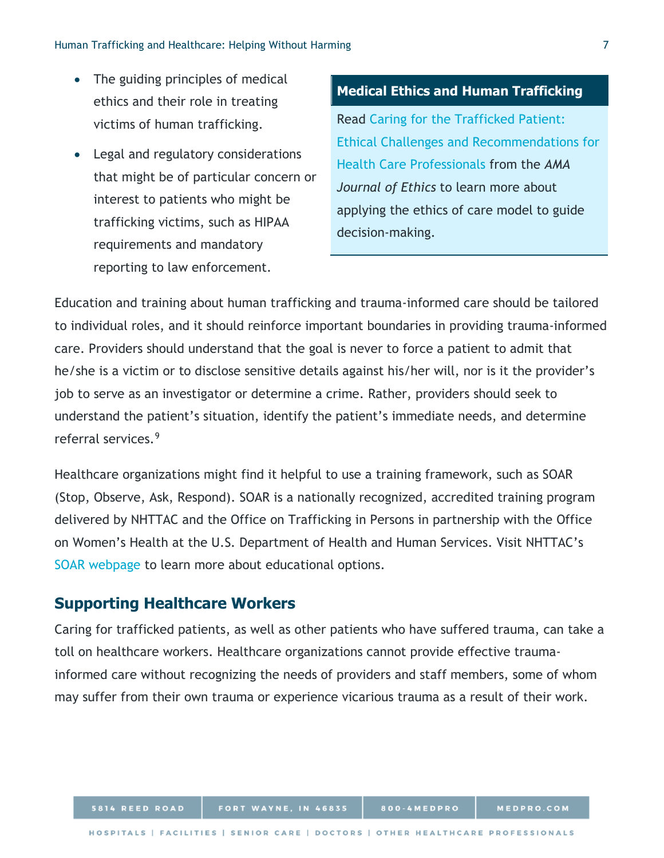- The guiding principles of medical ethics and their role in treating victims of human trafficking.
- Legal and regulatory considerations that might be of particular concern or interest to patients who might be trafficking victims, such as HIPAA requirements and mandatory reporting to law enforcement.

#### **Medical Ethics and Human Trafficking**

Read [Caring for the Trafficked Patient:](https://journalofethics.ama-assn.org/article/caring-trafficked-patient-ethical-challenges-and-recommendations-health-care-professionals/2017-01)  [Ethical Challenges and Recommendations for](https://journalofethics.ama-assn.org/article/caring-trafficked-patient-ethical-challenges-and-recommendations-health-care-professionals/2017-01)  [Health Care Professionals](https://journalofethics.ama-assn.org/article/caring-trafficked-patient-ethical-challenges-and-recommendations-health-care-professionals/2017-01) from the *AMA Journal of Ethics* to learn more about applying the ethics of care model to guide decision-making.

Education and training about human trafficking and trauma-informed care should be tailored to individual roles, and it should reinforce important boundaries in providing trauma-informed care. Providers should understand that the goal is never to force a patient to admit that he/she is a victim or to disclose sensitive details against his/her will, nor is it the provider's job to serve as an investigator or determine a crime. Rather, providers should seek to understand the patient's situation, identify the patient's immediate needs, and determine referral services.[9](#page-9-8)

Healthcare organizations might find it helpful to use a training framework, such as SOAR (Stop, Observe, Ask, Respond). SOAR is a nationally recognized, accredited training program delivered by NHTTAC and the Office on Trafficking in Persons in partnership with the Office on Women's Health at the U.S. Department of Health and Human Services. Visit NHTTAC's [SOAR webpage](https://nhttac.acf.hhs.gov/soar) to learn more about educational options.

## **Supporting Healthcare Workers**

Caring for trafficked patients, as well as other patients who have suffered trauma, can take a toll on healthcare workers. Healthcare organizations cannot provide effective traumainformed care without recognizing the needs of providers and staff members, some of whom may suffer from their own trauma or experience vicarious trauma as a result of their work.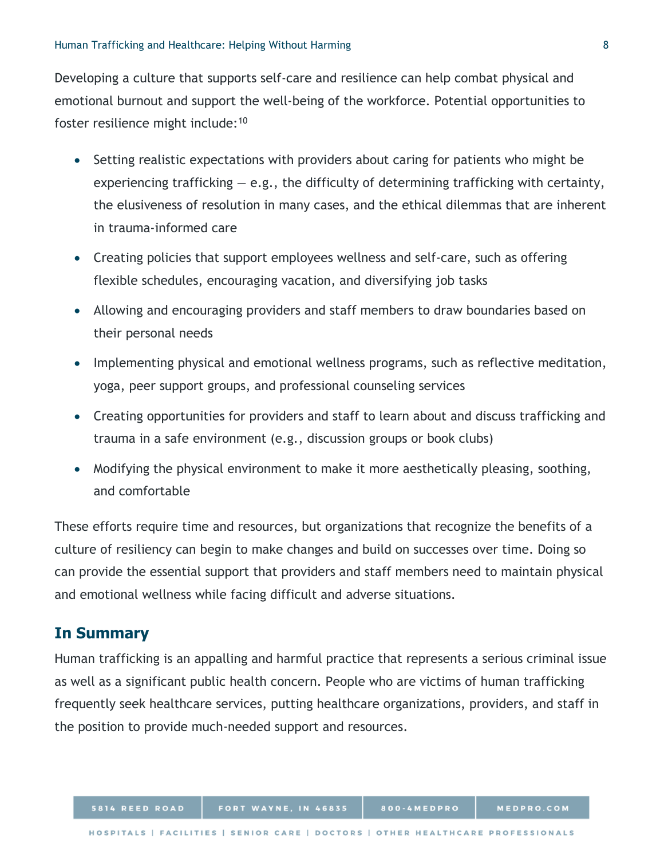Developing a culture that supports self-care and resilience can help combat physical and emotional burnout and support the well-being of the workforce. Potential opportunities to foster resilience might include:[10](#page-9-9)

- Setting realistic expectations with providers about caring for patients who might be experiencing trafficking  $-$  e.g., the difficulty of determining trafficking with certainty, the elusiveness of resolution in many cases, and the ethical dilemmas that are inherent in trauma-informed care
- Creating policies that support employees wellness and self-care, such as offering flexible schedules, encouraging vacation, and diversifying job tasks
- Allowing and encouraging providers and staff members to draw boundaries based on their personal needs
- Implementing physical and emotional wellness programs, such as reflective meditation, yoga, peer support groups, and professional counseling services
- Creating opportunities for providers and staff to learn about and discuss trafficking and trauma in a safe environment (e.g., discussion groups or book clubs)
- Modifying the physical environment to make it more aesthetically pleasing, soothing, and comfortable

These efforts require time and resources, but organizations that recognize the benefits of a culture of resiliency can begin to make changes and build on successes over time. Doing so can provide the essential support that providers and staff members need to maintain physical and emotional wellness while facing difficult and adverse situations.

## **In Summary**

Human trafficking is an appalling and harmful practice that represents a serious criminal issue as well as a significant public health concern. People who are victims of human trafficking frequently seek healthcare services, putting healthcare organizations, providers, and staff in the position to provide much-needed support and resources.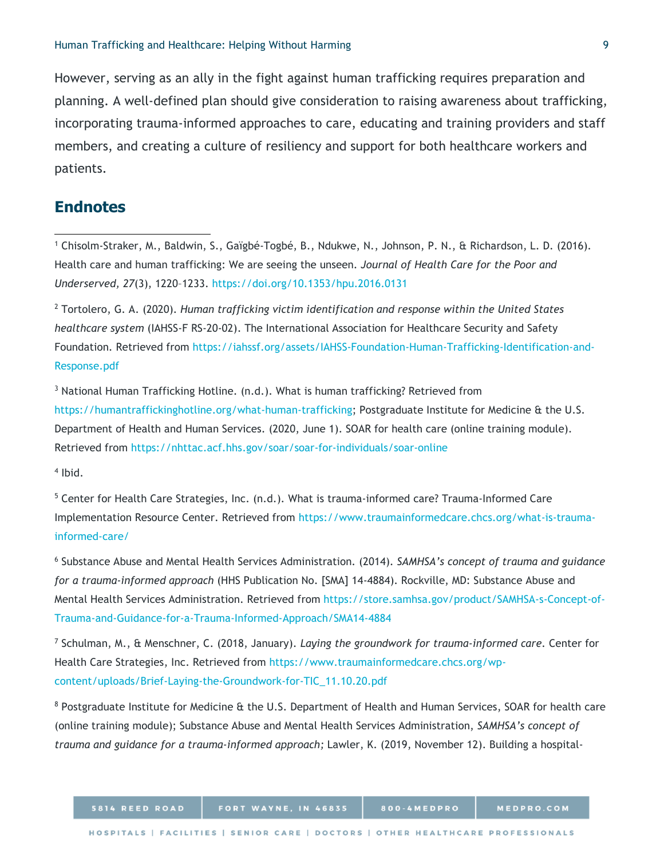However, serving as an ally in the fight against human trafficking requires preparation and planning. A well-defined plan should give consideration to raising awareness about trafficking, incorporating trauma-informed approaches to care, educating and training providers and staff members, and creating a culture of resiliency and support for both healthcare workers and patients.

## **Endnotes**

 $\overline{a}$ 

<sup>1</sup> Chisolm-Straker, M., Baldwin, S., Gaïgbé-Togbé, B., Ndukwe, N., Johnson, P. N., & Richardson, L. D. (2016). Health care and human trafficking: We are seeing the unseen*. Journal of Health Care for the Poor and Underserved, 27*(3), 1220–1233.<https://doi.org/10.1353/hpu.2016.0131>

<sup>2</sup> Tortolero, G. A. (2020). *Human trafficking victim identification and response within the United States healthcare system* (IAHSS-F RS-20-02). The International Association for Healthcare Security and Safety Foundation. Retrieved from [https://iahssf.org/assets/IAHSS-Foundation-Human-Trafficking-Identification-and-](https://iahssf.org/assets/IAHSS-Foundation-Human-Trafficking-Identification-and-Response.pdf)[Response.pdf](https://iahssf.org/assets/IAHSS-Foundation-Human-Trafficking-Identification-and-Response.pdf)

 $3$  National Human Trafficking Hotline. (n.d.). What is human trafficking? Retrieved from [https://humantraffickinghotline.org/what-human-trafficking;](https://humantraffickinghotline.org/what-human-trafficking) Postgraduate Institute for Medicine & the U.S. Department of Health and Human Services. (2020, June 1). SOAR for health care (online training module). Retrieved from<https://nhttac.acf.hhs.gov/soar/soar-for-individuals/soar-online>

 $4$  Ibid.

<sup>5</sup> Center for Health Care Strategies, Inc. (n.d.). What is trauma-informed care? Trauma-Informed Care Implementation Resource Center. Retrieved from [https://www.traumainformedcare.chcs.org/what-is-trauma](https://www.traumainformedcare.chcs.org/what-is-trauma-informed-care/)[informed-care/](https://www.traumainformedcare.chcs.org/what-is-trauma-informed-care/)

<sup>6</sup> Substance Abuse and Mental Health Services Administration. (2014). *SAMHSA's concept of trauma and guidance for a trauma-informed approach* (HHS Publication No. [SMA] 14-4884). Rockville, MD: Substance Abuse and Mental Health Services Administration. Retrieved from [https://store.samhsa.gov/product/SAMHSA-s-Concept-of-](https://store.samhsa.gov/product/SAMHSA-s-Concept-of-Trauma-and-Guidance-for-a-Trauma-Informed-Approach/SMA14-4884)[Trauma-and-Guidance-for-a-Trauma-Informed-Approach/SMA14-4884](https://store.samhsa.gov/product/SAMHSA-s-Concept-of-Trauma-and-Guidance-for-a-Trauma-Informed-Approach/SMA14-4884)

<sup>7</sup> Schulman, M., & Menschner, C. (2018, January). *Laying the groundwork for trauma-informed care.* Center for Health Care Strategies, Inc. Retrieved from [https://www.traumainformedcare.chcs.org/wp](https://www.traumainformedcare.chcs.org/wp-content/uploads/Brief-Laying-the-Groundwork-for-TIC_11.10.20.pdf)[content/uploads/Brief-Laying-the-Groundwork-for-TIC\\_11.10.20.pdf](https://www.traumainformedcare.chcs.org/wp-content/uploads/Brief-Laying-the-Groundwork-for-TIC_11.10.20.pdf)

<sup>8</sup> Postgraduate Institute for Medicine & the U.S. Department of Health and Human Services, SOAR for health care (online training module); Substance Abuse and Mental Health Services Administration, *SAMHSA's concept of trauma and guidance for a trauma-informed approach;* Lawler, K. (2019, November 12). Building a hospital